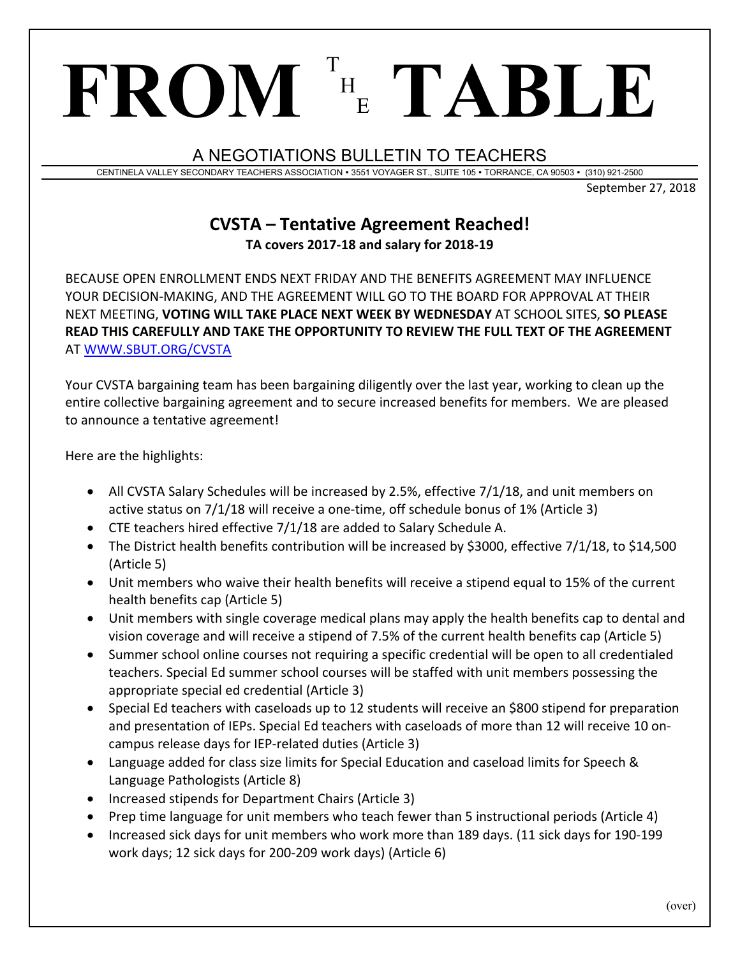A NEGOTIATIONS BULLETIN TO TEACHERS

<sup>E</sup> **TABLE**

H

CENTINELA VALLEY SECONDARY TEACHERS ASSOCIATION 3551 VOYAGER ST., SUITE 105 TORRANCE, CA 90503 (310) 921-2500

September 27, 2018

## **CVSTA – Tentative Agreement Reached! TA covers 2017‐18 and salary for 2018‐19**

BECAUSE OPEN ENROLLMENT ENDS NEXT FRIDAY AND THE BENEFITS AGREEMENT MAY INFLUENCE YOUR DECISION‐MAKING, AND THE AGREEMENT WILL GO TO THE BOARD FOR APPROVAL AT THEIR NEXT MEETING, **VOTING WILL TAKE PLACE NEXT WEEK BY WEDNESDAY** AT SCHOOL SITES, **SO PLEASE READ THIS CAREFULLY AND TAKE THE OPPORTUNITY TO REVIEW THE FULL TEXT OF THE AGREEMENT**  AT WWW.SBUT.ORG/CVSTA

Your CVSTA bargaining team has been bargaining diligently over the last year, working to clean up the entire collective bargaining agreement and to secure increased benefits for members. We are pleased to announce a tentative agreement!

Here are the highlights:

**FROM** <sup>T</sup>

- All CVSTA Salary Schedules will be increased by 2.5%, effective 7/1/18, and unit members on active status on 7/1/18 will receive a one‐time, off schedule bonus of 1% (Article 3)
- CTE teachers hired effective 7/1/18 are added to Salary Schedule A.
- The District health benefits contribution will be increased by \$3000, effective 7/1/18, to \$14,500 (Article 5)
- Unit members who waive their health benefits will receive a stipend equal to 15% of the current health benefits cap (Article 5)
- Unit members with single coverage medical plans may apply the health benefits cap to dental and vision coverage and will receive a stipend of 7.5% of the current health benefits cap (Article 5)
- Summer school online courses not requiring a specific credential will be open to all credentialed teachers. Special Ed summer school courses will be staffed with unit members possessing the appropriate special ed credential (Article 3)
- Special Ed teachers with caseloads up to 12 students will receive an \$800 stipend for preparation and presentation of IEPs. Special Ed teachers with caseloads of more than 12 will receive 10 on‐ campus release days for IEP‐related duties (Article 3)
- Language added for class size limits for Special Education and caseload limits for Speech & Language Pathologists (Article 8)
- Increased stipends for Department Chairs (Article 3)
- Prep time language for unit members who teach fewer than 5 instructional periods (Article 4)
- Increased sick days for unit members who work more than 189 days. (11 sick days for 190-199 work days; 12 sick days for 200‐209 work days) (Article 6)